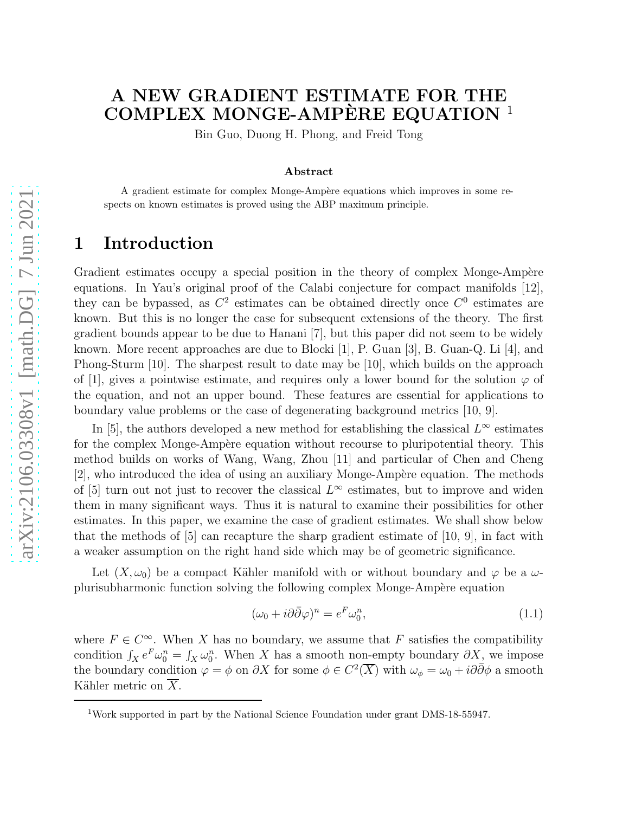# A NEW GRADIENT ESTIMATE FOR THE COMPLEX MONGE-AMPÈRE EQUATION  $^1$

Bin Guo, Duong H. Phong, and Freid Tong

#### Abstract

A gradient estimate for complex Monge-Ampère equations which improves in some respects on known estimates is proved using the ABP maximum principle.

### 1 Introduction

Gradient estimates occupy a special position in the theory of complex Monge-Ampère equations. In Yau's original proof of the Calabi conjecture for compact manifolds [12], they can be bypassed, as  $C^2$  estimates can be obtained directly once  $C^0$  estimates are known. But this is no longer the case for subsequent extensions of the theory. The first gradient bounds appear to be due to Hanani [7], but this paper did not seem to be widely known. More recent approaches are due to Blocki [1], P. Guan [3], B. Guan-Q. Li [4], and Phong-Sturm [10]. The sharpest result to date may be [10], which builds on the approach of [1], gives a pointwise estimate, and requires only a lower bound for the solution  $\varphi$  of the equation, and not an upper bound. These features are essential for applications to boundary value problems or the case of degenerating background metrics [10, 9].

In [5], the authors developed a new method for establishing the classical  $L^{\infty}$  estimates for the complex Monge-Ampère equation without recourse to pluripotential theory. This method builds on works of Wang, Wang, Zhou [11] and particular of Chen and Cheng  $[2]$ , who introduced the idea of using an auxiliary Monge-Ampère equation. The methods of [5] turn out not just to recover the classical  $L^{\infty}$  estimates, but to improve and widen them in many significant ways. Thus it is natural to examine their possibilities for other estimates. In this paper, we examine the case of gradient estimates. We shall show below that the methods of  $[5]$  can recapture the sharp gradient estimate of  $[10, 9]$ , in fact with a weaker assumption on the right hand side which may be of geometric significance.

Let  $(X, \omega_0)$  be a compact Kähler manifold with or without boundary and  $\varphi$  be a  $\omega$ plurisubharmonic function solving the following complex Monge-Ampère equation

$$
(\omega_0 + i\partial\bar{\partial}\varphi)^n = e^F \omega_0^n,\tag{1.1}
$$

where  $F \in C^{\infty}$ . When X has no boundary, we assume that F satisfies the compatibility condition  $\int_X e^F \omega_0^n = \int_X \omega_0^n$ . When X has a smooth non-empty boundary  $\partial X$ , we impose the boundary condition  $\varphi = \phi$  on  $\partial X$  for some  $\phi \in C^2(\overline{X})$  with  $\omega_{\phi} = \omega_0 + i\partial\overline{\partial}\phi$  a smooth Kähler metric on  $\overline{X}$ .

<sup>1</sup>Work supported in part by the National Science Foundation under grant DMS-18-55947.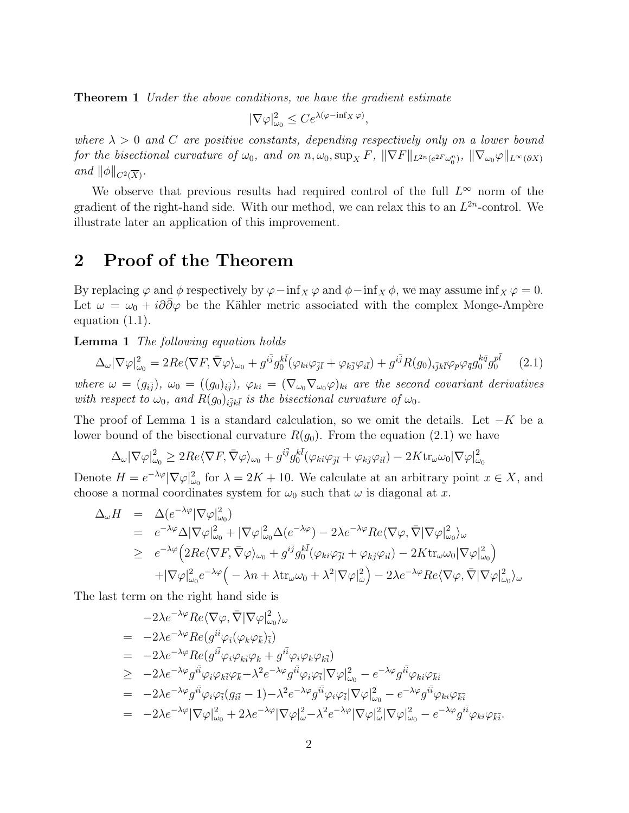**Theorem 1** Under the above conditions, we have the gradient estimate

$$
|\nabla \varphi|_{\omega_0}^2 \le Ce^{\lambda(\varphi - \inf_X \varphi)},
$$

where  $\lambda > 0$  and C are positive constants, depending respectively only on a lower bound for the bisectional curvature of  $\omega_0$ , and on  $n, \omega_0$ ,  $\sup_X F$ ,  $\|\nabla F\|_{L^{2n}(e^{2F}\omega_0^n)}$ ,  $\|\nabla_{\omega_0}\varphi\|_{L^{\infty}(\partial X)}$ and  $\|\phi\|_{C^2(\overline{X})}$ .

We observe that previous results had required control of the full  $L^{\infty}$  norm of the gradient of the right-hand side. With our method, we can relax this to an  $L^{2n}$ -control. We illustrate later an application of this improvement.

#### 2 Proof of the Theorem

By replacing  $\varphi$  and  $\phi$  respectively by  $\varphi$ −inf<sub>X</sub>  $\varphi$  and  $\phi$ −inf<sub>X</sub>  $\phi$ , we may assume inf<sub>X</sub>  $\varphi$  = 0. Let  $\omega = \omega_0 + i\partial\partial\varphi$  be the Kähler metric associated with the complex Monge-Ampère equation (1.1).

Lemma 1 The following equation holds

$$
\Delta_{\omega} |\nabla \varphi|_{\omega_0}^2 = 2Re \langle \nabla F, \bar{\nabla} \varphi \rangle_{\omega_0} + g^{i\bar{j}} g_0^{k\bar{l}} (\varphi_{ki}\varphi_{\bar{j}\bar{l}} + \varphi_{k\bar{j}}\varphi_{i\bar{l}}) + g^{i\bar{j}} R(g_0)_{i\bar{j}k\bar{l}} \varphi_p \varphi_{\bar{q}} g_0^{k\bar{q}} g_0^{p\bar{l}} \qquad (2.1)
$$

where  $\omega = (g_{i\bar{j}}), \ \omega_0 = ((g_0)_{i\bar{j}}), \ \varphi_{ki} = (\nabla_{\omega_0} \nabla_{\omega_0} \varphi)_{ki}$  are the second covariant derivatives with respect to  $\omega_0$ , and  $R(g_0)_{i\bar{j}k\bar{l}}$  is the bisectional curvature of  $\omega_0$ .

The proof of Lemma 1 is a standard calculation, so we omit the details. Let  $-K$  be a lower bound of the bisectional curvature  $R(g_0)$ . From the equation (2.1) we have

$$
\Delta_{\omega}|\nabla\varphi|_{\omega_0}^2 \geq 2Re\langle \nabla F, \bar{\nabla}\varphi\rangle_{\omega_0} + g^{i\bar{j}}g_0^{k\bar{l}}(\varphi_{ki}\varphi_{\bar{j}\bar{l}} + \varphi_{k\bar{j}}\varphi_{i\bar{l}}) - 2K \text{tr}_{\omega}\omega_0|\nabla\varphi|_{\omega_0}^2
$$

Denote  $H = e^{-\lambda \varphi} |\nabla \varphi|_{\omega_0}^2$  for  $\lambda = 2K + 10$ . We calculate at an arbitrary point  $x \in X$ , and choose a normal coordinates system for  $\omega_0$  such that  $\omega$  is diagonal at x.

$$
\Delta_{\omega} H = \Delta(e^{-\lambda \varphi} |\nabla \varphi|_{\omega_0}^2) \n= e^{-\lambda \varphi} \Delta |\nabla \varphi|_{\omega_0}^2 + |\nabla \varphi|_{\omega_0}^2 \Delta(e^{-\lambda \varphi}) - 2\lambda e^{-\lambda \varphi} Re \langle \nabla \varphi, \bar{\nabla} |\nabla \varphi|_{\omega_0}^2 \rangle_{\omega} \n\ge e^{-\lambda \varphi} \Big( 2Re \langle \nabla F, \bar{\nabla} \varphi \rangle_{\omega_0} + g^{i\bar{j}} g_0^{k\bar{l}} (\varphi_{ki}\varphi_{\bar{j}\bar{l}} + \varphi_{k\bar{j}}\varphi_{i\bar{l}}) - 2K \text{tr}_{\omega} \omega_0 |\nabla \varphi|_{\omega_0}^2 \Big) \n+ |\nabla \varphi|_{\omega_0}^2 e^{-\lambda \varphi} \Big( -\lambda n + \lambda \text{tr}_{\omega} \omega_0 + \lambda^2 |\nabla \varphi|_{\omega}^2 \Big) - 2\lambda e^{-\lambda \varphi} Re \langle \nabla \varphi, \bar{\nabla} |\nabla \varphi|_{\omega_0}^2 \rangle_{\omega}
$$

The last term on the right hand side is

$$
-2\lambda e^{-\lambda\varphi} Re \langle \nabla \varphi, \bar{\nabla} | \nabla \varphi |_{\omega_0}^2 \rangle_{\omega}
$$
  
\n
$$
= -2\lambda e^{-\lambda\varphi} Re(g^{i\bar{i}} \varphi_i(\varphi_k \varphi_{\bar{k}})_{\bar{i}})
$$
  
\n
$$
= -2\lambda e^{-\lambda\varphi} Re(g^{i\bar{i}} \varphi_i \varphi_k \bar{\iota} \varphi_{\bar{k}} + g^{i\bar{i}} \varphi_i \varphi_k \varphi_{\bar{k}\bar{i}})
$$
  
\n
$$
\geq -2\lambda e^{-\lambda\varphi} g^{i\bar{i}} \varphi_i \varphi_k \bar{\iota} \varphi_{\bar{k}} - \lambda^2 e^{-\lambda\varphi} g^{i\bar{i}} \varphi_i \varphi_{\bar{i}} |\nabla \varphi|_{\omega_0}^2 - e^{-\lambda\varphi} g^{i\bar{i}} \varphi_{ki} \varphi_{\bar{k}\bar{i}}
$$
  
\n
$$
= -2\lambda e^{-\lambda\varphi} g^{i\bar{i}} \varphi_i \varphi_{\bar{i}} (g_{i\bar{i}} - 1) - \lambda^2 e^{-\lambda\varphi} g^{i\bar{i}} \varphi_i \varphi_{\bar{i}} |\nabla \varphi|_{\omega_0}^2 - e^{-\lambda\varphi} g^{i\bar{i}} \varphi_{ki} \varphi_{\bar{k}\bar{i}}
$$
  
\n
$$
= -2\lambda e^{-\lambda\varphi} |\nabla \varphi|_{\omega_0}^2 + 2\lambda e^{-\lambda\varphi} |\nabla \varphi|_{\omega}^2 - \lambda^2 e^{-\lambda\varphi} |\nabla \varphi|_{\omega}^2 |\nabla \varphi|_{\omega_0}^2 - e^{-\lambda\varphi} g^{i\bar{i}} \varphi_{ki} \varphi_{\bar{k}\bar{i}}.
$$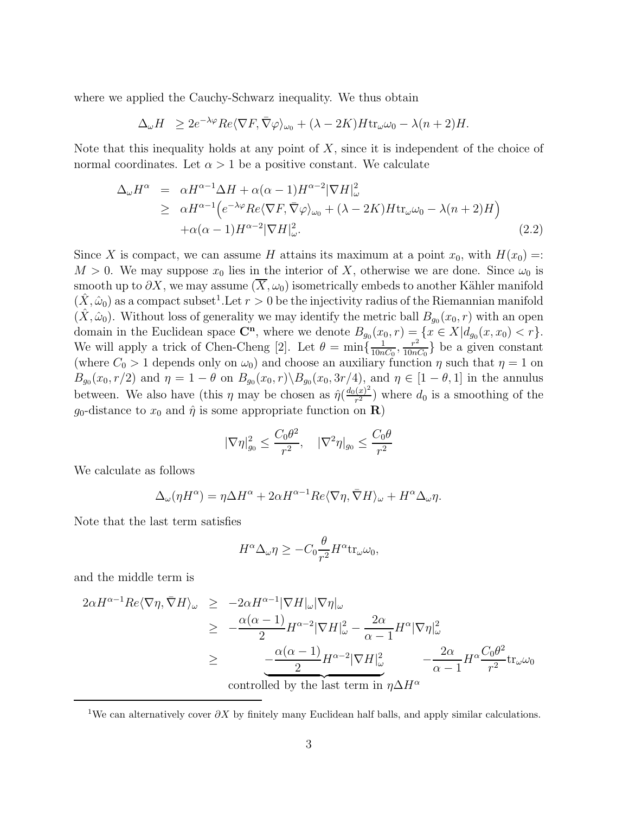where we applied the Cauchy-Schwarz inequality. We thus obtain

$$
\Delta_{\omega}H \ge 2e^{-\lambda\varphi}Re\langle \nabla F, \overline{\nabla}\varphi \rangle_{\omega_0} + (\lambda - 2K)H \text{tr}_{\omega}\omega_0 - \lambda(n+2)H.
$$

Note that this inequality holds at any point of X, since it is independent of the choice of normal coordinates. Let  $\alpha > 1$  be a positive constant. We calculate

$$
\Delta_{\omega}H^{\alpha} = \alpha H^{\alpha-1}\Delta H + \alpha(\alpha-1)H^{\alpha-2}|\nabla H|_{\omega}^{2}
$$
\n
$$
\geq \alpha H^{\alpha-1} \Big(e^{-\lambda\varphi}Re\langle \nabla F, \nabla \varphi \rangle_{\omega_{0}} + (\lambda - 2K)H \text{tr}_{\omega}\omega_{0} - \lambda(n+2)H\Big) + \alpha(\alpha-1)H^{\alpha-2}|\nabla H|_{\omega}^{2}.
$$
\n(2.2)

Since X is compact, we can assume H attains its maximum at a point  $x_0$ , with  $H(x_0) =$ :  $M > 0$ . We may suppose  $x_0$  lies in the interior of X, otherwise we are done. Since  $\omega_0$  is smooth up to  $\partial X$ , we may assume  $(\overline{X}, \omega_0)$  isometrically embeds to another Kähler manifold  $(\hat{X}, \hat{\omega}_0)$  as a compact subset<sup>1</sup>. Let  $r > 0$  be the injectivity radius of the Riemannian manifold  $(\hat{X}, \hat{\omega}_0)$ . Without loss of generality we may identify the metric ball  $B_{g_0}(x_0, r)$  with an open domain in the Euclidean space  $\mathbb{C}^n$ , where we denote  $B_{g_0}(x_0, r) = \{x \in X | d_{g_0}(x, x_0) < r\}.$ We will apply a trick of Chen-Cheng [2]. Let  $\theta = \min\{\frac{1}{10n}\}$  $\frac{1}{10nC_0}$ ,  $\frac{r^2}{10nC_0}$  $\frac{r^2}{10nC_0}$  be a given constant (where  $C_0 > 1$  depends only on  $\omega_0$ ) and choose an auxiliary function  $\eta$  such that  $\eta = 1$  on  $B_{g_0}(x_0, r/2)$  and  $\eta = 1 - \theta$  on  $B_{g_0}(x_0, r) \setminus B_{g_0}(x_0, 3r/4)$ , and  $\eta \in [1 - \theta, 1]$  in the annulus between. We also have (this  $\eta$  may be chosen as  $\hat{\eta}(\frac{d_0(x)^2}{r^2})$  $\frac{(x)^2}{r^2}$ ) where  $d_0$  is a smoothing of the  $g_0$ -distance to  $x_0$  and  $\hat{\eta}$  is some appropriate function on **R**)

$$
|\nabla \eta|_{g_0}^2 \le \frac{C_0 \theta^2}{r^2}, \quad |\nabla^2 \eta|_{g_0} \le \frac{C_0 \theta}{r^2}
$$

We calculate as follows

$$
\Delta_{\omega}(\eta H^{\alpha}) = \eta \Delta H^{\alpha} + 2\alpha H^{\alpha-1} Re \langle \nabla \eta, \bar{\nabla} H \rangle_{\omega} + H^{\alpha} \Delta_{\omega} \eta.
$$

Note that the last term satisfies

$$
H^{\alpha} \Delta_{\omega} \eta \geq -C_0 \frac{\theta}{r^2} H^{\alpha} \text{tr}_{\omega} \omega_0,
$$

and the middle term is

$$
2\alpha H^{\alpha-1} Re \langle \nabla \eta, \bar{\nabla} H \rangle_{\omega} \ge -2\alpha H^{\alpha-1} |\nabla H|_{\omega} |\nabla \eta|_{\omega}
$$
  
\n
$$
\ge -\frac{\alpha(\alpha-1)}{2} H^{\alpha-2} |\nabla H|_{\omega}^2 - \frac{2\alpha}{\alpha-1} H^{\alpha} |\nabla \eta|_{\omega}^2
$$
  
\n
$$
\ge -\frac{\alpha(\alpha-1)}{2} H^{\alpha-2} |\nabla H|_{\omega}^2 - \frac{2\alpha}{\alpha-1} H^{\alpha} \frac{C_0 \theta^2}{r^2} \text{tr}_{\omega} \omega_0
$$
  
\ncontrolled by the last term in  $\eta \Delta H^{\alpha}$ 

<sup>1</sup>We can alternatively cover  $\partial X$  by finitely many Euclidean half balls, and apply similar calculations.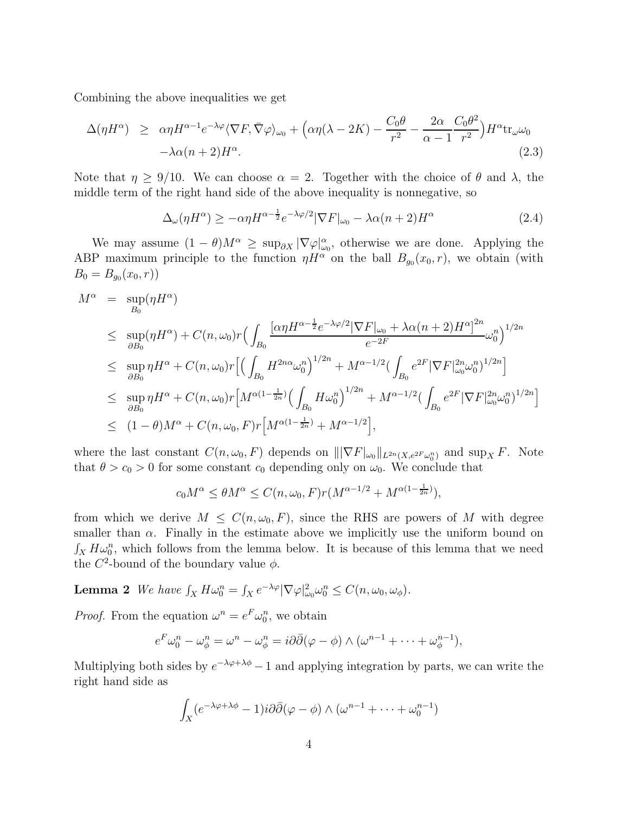Combining the above inequalities we get

$$
\Delta(\eta H^{\alpha}) \geq \alpha \eta H^{\alpha-1} e^{-\lambda \varphi} \langle \nabla F, \bar{\nabla} \varphi \rangle_{\omega_0} + \left( \alpha \eta (\lambda - 2K) - \frac{C_0 \theta}{r^2} - \frac{2\alpha}{\alpha - 1} \frac{C_0 \theta^2}{r^2} \right) H^{\alpha} \text{tr}_{\omega} \omega_0
$$
  
- \lambda \alpha (n+2) H^{\alpha}. (2.3)

Note that  $\eta \geq 9/10$ . We can choose  $\alpha = 2$ . Together with the choice of  $\theta$  and  $\lambda$ , the middle term of the right hand side of the above inequality is nonnegative, so

$$
\Delta_{\omega}(\eta H^{\alpha}) \ge -\alpha \eta H^{\alpha - \frac{1}{2}} e^{-\lambda \varphi/2} |\nabla F|_{\omega_0} - \lambda \alpha (n+2) H^{\alpha} \tag{2.4}
$$

We may assume  $(1 - \theta)M^{\alpha} \geq \sup_{\partial X} |\nabla \varphi|_{\omega_0}^{\alpha}$ , otherwise we are done. Applying the ABP maximum principle to the function  $\eta H^{\alpha}$  on the ball  $B_{g_0}(x_0, r)$ , we obtain (with  $B_0 = B_{g_0}(x_0,r)$ 

$$
M^{\alpha} = \sup_{B_0} (\eta H^{\alpha})
$$
  
\n
$$
\leq \sup_{\partial B_0} (\eta H^{\alpha}) + C(n, \omega_0) r \Big( \int_{B_0} \frac{[\alpha \eta H^{\alpha - \frac{1}{2}} e^{-\lambda \varphi/2} |\nabla F|_{\omega_0} + \lambda \alpha (n+2) H^{\alpha}]^{2n}}{e^{-2F}} \omega_0^{n} \Big)^{1/2n}
$$
  
\n
$$
\leq \sup_{\partial B_0} \eta H^{\alpha} + C(n, \omega_0) r \Big[ \Big( \int_{B_0} H^{2n\alpha} \omega_0^{n} \Big)^{1/2n} + M^{\alpha - 1/2} \Big( \int_{B_0} e^{2F} |\nabla F|_{\omega_0}^{2n} \omega_0^{n} \Big)^{1/2n} \Big]
$$
  
\n
$$
\leq \sup_{\partial B_0} \eta H^{\alpha} + C(n, \omega_0) r \Big[ M^{\alpha(1 - \frac{1}{2n})} \Big( \int_{B_0} H \omega_0^{n} \Big)^{1/2n} + M^{\alpha - 1/2} \Big( \int_{B_0} e^{2F} |\nabla F|_{\omega_0}^{2n} \omega_0^{n} \Big)^{1/2n} \Big]
$$
  
\n
$$
\leq (1 - \theta) M^{\alpha} + C(n, \omega_0, F) r \Big[ M^{\alpha(1 - \frac{1}{2n})} + M^{\alpha - 1/2} \Big],
$$

where the last constant  $C(n, \omega_0, F)$  depends on  $\|\nabla F|_{\omega_0}\|_{L^{2n}(X, e^{2F} \omega_0^n)}$  and  $\sup_X F$ . Note that  $\theta > c_0 > 0$  for some constant  $c_0$  depending only on  $\omega_0$ . We conclude that

$$
c_0 M^{\alpha} \le \theta M^{\alpha} \le C(n, \omega_0, F) r (M^{\alpha - 1/2} + M^{\alpha(1 - \frac{1}{2n})}),
$$

from which we derive  $M \leq C(n,\omega_0, F)$ , since the RHS are powers of M with degree smaller than  $\alpha$ . Finally in the estimate above we implicitly use the uniform bound on  $\int_X H \omega_0^n$ , which follows from the lemma below. It is because of this lemma that we need the  $C^2$ -bound of the boundary value  $\phi$ .

**Lemma 2** We have  $\int_X H \omega_0^n = \int_X e^{-\lambda \varphi} |\nabla \varphi|_{\omega_0}^2 \omega_0^n \leq C(n, \omega_0, \omega_\phi)$ .

*Proof.* From the equation  $\omega^n = e^F \omega_0^n$ , we obtain

$$
e^F \omega_0^n - \omega_\phi^n = \omega^n - \omega_\phi^n = i\partial \bar{\partial}(\varphi - \phi) \wedge (\omega^{n-1} + \dots + \omega_\phi^{n-1}),
$$

Multiplying both sides by  $e^{-\lambda \varphi + \lambda \phi} - 1$  and applying integration by parts, we can write the right hand side as

$$
\int_X (e^{-\lambda \varphi + \lambda \phi} - 1) i \partial \overline{\partial} (\varphi - \phi) \wedge (\omega^{n-1} + \dots + \omega_0^{n-1})
$$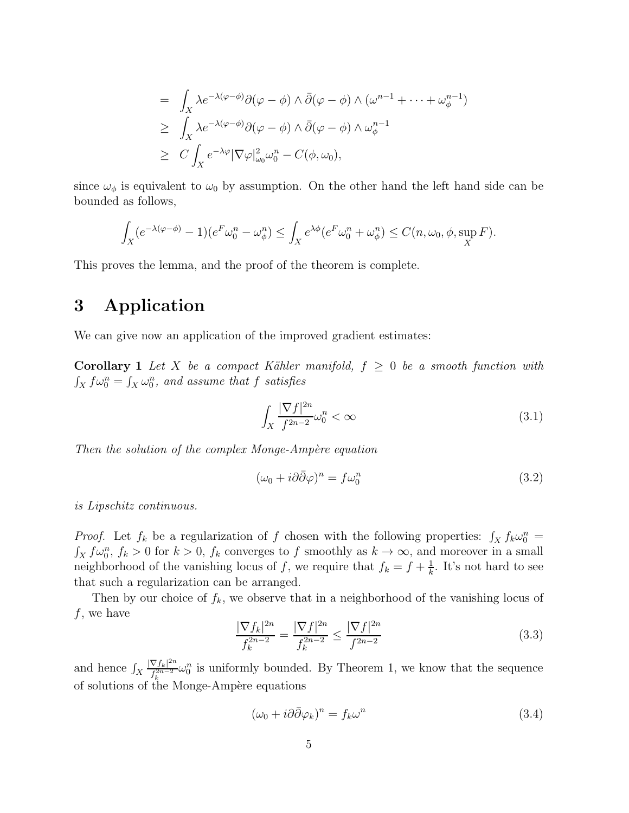$$
= \int_X \lambda e^{-\lambda(\varphi - \phi)} \partial(\varphi - \phi) \wedge \bar{\partial}(\varphi - \phi) \wedge (\omega^{n-1} + \dots + \omega_{\phi}^{n-1})
$$
  
\n
$$
\geq \int_X \lambda e^{-\lambda(\varphi - \phi)} \partial(\varphi - \phi) \wedge \bar{\partial}(\varphi - \phi) \wedge \omega_{\phi}^{n-1}
$$
  
\n
$$
\geq C \int_X e^{-\lambda \varphi} |\nabla \varphi|_{\omega_0}^2 \omega_0^n - C(\phi, \omega_0),
$$

since  $\omega_{\phi}$  is equivalent to  $\omega_0$  by assumption. On the other hand the left hand side can be bounded as follows,

$$
\int_X (e^{-\lambda(\varphi-\phi)}-1)(e^F\omega_0^n-\omega_\phi^n)\leq \int_X e^{\lambda\phi}(e^F\omega_0^n+\omega_\phi^n)\leq C(n,\omega_0,\phi,\sup_X F).
$$

This proves the lemma, and the proof of the theorem is complete.

# 3 Application

We can give now an application of the improved gradient estimates:

**Corollary 1** Let X be a compact Kähler manifold,  $f \geq 0$  be a smooth function with  $\int_X f \omega_0^n = \int_X \omega_0^n$ , and assume that f satisfies

$$
\int_{X} \frac{|\nabla f|^{2n}}{f^{2n-2}} \omega_0^n < \infty \tag{3.1}
$$

Then the solution of the complex Monge-Ampère equation

$$
(\omega_0 + i\partial\bar{\partial}\varphi)^n = f\omega_0^n \tag{3.2}
$$

is Lipschitz continuous.

*Proof.* Let  $f_k$  be a regularization of f chosen with the following properties:  $\int_X f_k \omega_0^n =$  $\int_X f\omega_0^n$ ,  $f_k > 0$  for  $k > 0$ ,  $f_k$  converges to f smoothly as  $k \to \infty$ , and moreover in a small neighborhood of the vanishing locus of f, we require that  $f_k = f + \frac{1}{k}$  $\frac{1}{k}$ . It's not hard to see that such a regularization can be arranged.

Then by our choice of  $f_k$ , we observe that in a neighborhood of the vanishing locus of  $f$ , we have

$$
\frac{|\nabla f_k|^{2n}}{f_k^{2n-2}} = \frac{|\nabla f|^{2n}}{f_k^{2n-2}} \le \frac{|\nabla f|^{2n}}{f^{2n-2}} \tag{3.3}
$$

and hence  $\int_X$  $|\nabla f_k|^{2n}$  $\frac{\nabla f_k|^{2n}}{f_k^{2n-2}}\omega_0^n$  is uniformly bounded. By Theorem 1, we know that the sequence of solutions of the Monge-Ampère equations

$$
(\omega_0 + i\partial\bar{\partial}\varphi_k)^n = f_k \omega^n \tag{3.4}
$$